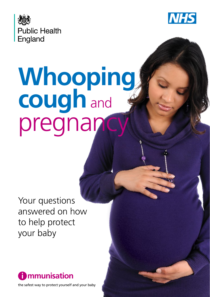



## and pregnan **Whooping cough**

Your questions answered on how to help protect your baby



the safest way to protect yourself and your baby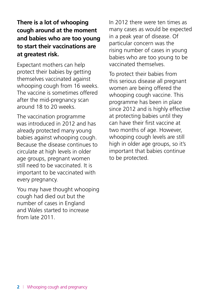### **There is a lot of whooping cough around at the moment and babies who are too young to start their vaccinations are at greatest risk.**

Expectant mothers can help protect their babies by getting themselves vaccinated against whooping cough from 16 weeks. The vaccine is sometimes offered after the mid-pregnancy scan around 18 to 20 weeks.

The vaccination programme was introduced in 2012 and has already protected many young babies against whooping cough. Because the disease continues to circulate at high levels in older age groups, pregnant women still need to be vaccinated. It is important to be vaccinated with every pregnancy.

You may have thought whooping cough had died out but the number of cases in England and Wales started to increase from late 2011.

In 2012 there were ten times as many cases as would be expected in a peak year of disease. Of particular concern was the rising number of cases in young babies who are too young to be vaccinated themselves.

To protect their babies from this serious disease all pregnant women are being offered the whooping cough vaccine. This programme has been in place since 2012 and is highly effective at protecting babies until they can have their first vaccine at two months of age. However, whooping cough levels are still high in older age groups, so it's important that babies continue to be protected.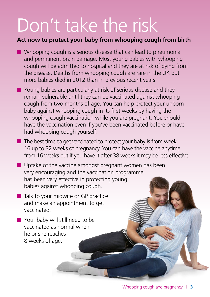# Don't take the risk

#### **Act now to protect your baby from whooping cough from birth**

- Whooping cough is a serious disease that can lead to pneumonia and permanent brain damage. Most young babies with whooping cough will be admitted to hospital and they are at risk of dying from the disease. Deaths from whooping cough are rare in the UK but more babies died in 2012 than in previous recent years.
- Young babies are particularly at risk of serious disease and they remain vulnerable until they can be vaccinated against whooping cough from two months of age. You can help protect your unborn baby against whooping cough in its first weeks by having the whooping cough vaccination while you are pregnant. You should have the vaccination even if you've been vaccinated before or have had whooping cough yourself.
- $\blacksquare$  The best time to get vaccinated to protect your baby is from week 16 up to 32 weeks of pregnancy. You can have the vaccine anytime from 16 weeks but if you have it after 38 weeks it may be less effective.
- Uptake of the vaccine amongst pregnant women has been very encouraging and the vaccination programme has been very effective in protecting young babies against whooping cough.
- Talk to your midwife or GP practice and make an appointment to get vaccinated.
- Your baby will still need to be vaccinated as normal when he or she reaches 8 weeks of age.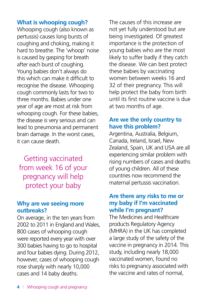#### **What is whooping cough?**

Whooping cough (also known as pertussis) causes long bursts of coughing and choking, making it hard to breathe. The 'whoop' noise is caused by gasping for breath after each burst of coughing. Young babies don't always do this which can make it difficult to recognise the disease. Whooping cough commonly lasts for two to three months. Babies under one year of age are most at risk from whooping cough. For these babies, the disease is very serious and can lead to pneumonia and permanent brain damage. In the worst cases, it can cause death.

Getting vaccinated from week 16 of your pregnancy will help protect your baby

#### **Why are we seeing more outbreaks?**

On average, in the ten years from 2002 to 2011 in England and Wales, 800 cases of whooping cough were reported every year with over 300 babies having to go to hospital and four babies dying. During 2012, however, cases of whooping cough rose sharply with nearly 10,000 cases and 14 baby deaths.

The causes of this increase are not yet fully understood but are being investigated. Of greatest importance is the protection of young babies who are the most likely to suffer badly if they catch the disease. We can best protect these babies by vaccinating women between weeks 16 and 32 of their pregnancy. This will help protect the baby from birth until its first routine vaccine is due at two months of age.

#### **Are we the only country to have this problem?**

Argentina, Australia, Belgium, Canada, Ireland, Israel, New Zealand, Spain, UK and USA are all experiencing similar problem with rising numbers of cases and deaths of young children. All of these countries now recommend the maternal pertussis vaccination.

#### **Are there any risks to me or my baby if I'm vaccinated while I'm pregnant?**

The Medicines and Healthcare products Regulatory Agency (MHRA) in the UK has completed a large study of the safety of the vaccine in pregnancy in 2014. This study, including nearly 18,000 vaccinated women, found no risks to pregnancy associated with the vaccine and rates of normal,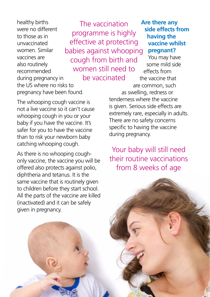healthy births were no different to those as in unvaccinated women. Similar vaccines are also routinely recommended during pregnancy in the US where no risks to pregnancy have been found.

The vaccination programme is highly effective at protecting babies against whooping cough from birth and women still need to be vaccinated

**Are there any side effects from having the vaccine whilst pregnant?**

You may have some mild side effects from the vaccine that are common, such as swelling, redness or

The whooping cough vaccine is not a live vaccine so it can't cause whooping cough in you or your baby if you have the vaccine. It's safer for you to have the vaccine than to risk your newborn baby catching whooping cough.

As there is no whooping coughonly vaccine, the vaccine you will be offered also protects against polio, diphtheria and tetanus. It is the same vaccine that is routinely given to children before they start school. All the parts of the vaccine are killed (inactivated) and it can be safely given in pregnancy.

tenderness where the vaccine is given. Serious side effects are extremely rare, especially in adults. There are no safety concerns specific to having the vaccine during pregnancy.

Your baby will still need their routine vaccinations from 8 weeks of age

Who has been congressed and pregnancy in the second second pregnancy in the second second pregnancy in the second second second second second second second second second second second second second second second second sec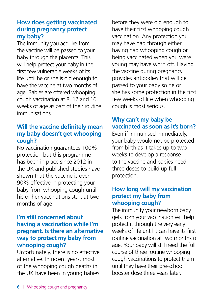#### **How does getting vaccinated during pregnancy protect my baby?**

The immunity you acquire from the vaccine will be passed to your baby through the placenta. This will help protect your baby in the first few vulnerable weeks of its life until he or she is old enough to have the vaccine at two months of age. Babies are offered whooping cough vaccination at 8, 12 and 16 weeks of age as part of their routine immunisations.

#### **Will the vaccine definitely mean my baby doesn't get whooping cough?**

No vaccination guarantees 100% protection but this programme has been in place since 2012 in the UK and published studies have shown that the vaccine is over 90% effective in protecting your baby from whooping cough until his or her vaccinations start at two months of age.

#### **I'm still concerned about having a vaccination while I'm pregnant. Is there an alternative way to protect my baby from whooping cough?**

Unfortunately, there is no effective alternative. In recent years, most of the whooping cough deaths in the UK have been in young babies before they were old enough to have their first whooping cough vaccination. Any protection you may have had through either having had whooping cough or being vaccinated when you were young may have worn off. Having the vaccine during pregnancy provides antibodies that will be passed to your baby so he or she has some protection in the first few weeks of life when whooping cough is most serious.

#### **Why can't my baby be vaccinated as soon as it's born?**

Even if immunised immediately, your baby would not be protected from birth as it takes up to two weeks to develop a response to the vaccine and babies need three doses to build up full protection.

#### **How long will my vaccination protect my baby from whooping cough?**

The immunity your newborn baby gets from your vaccination will help protect it through the very early weeks of life until it can have its first routine vaccination at two months of age. Your baby will still need the full course of three routine whooping cough vaccinations to protect them until they have their pre-school booster dose three years later.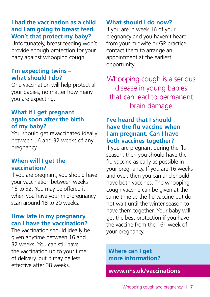#### **I had the vaccination as a child and I am going to breast feed. Won't that protect my baby?**

Unfortunately, breast feeding won't provide enough protection for your baby against whooping cough.

#### **I'm expecting twins – what should I do?**

One vaccination will help protect all your babies, no matter how many you are expecting.

#### **What if I get pregnant again soon after the birth of my baby?**

You should get revaccinated ideally between 16 and 32 weeks of any pregnancy.

#### **When will I get the vaccination?**

If you are pregnant, you should have your vaccination between weeks 16 to 32. You may be offered it when you have your mid-pregnancy scan around 18 to 20 weeks.

#### **How late in my pregnancy can I have the vaccination?**

The vaccination should ideally be given anytime between 16 and 32 weeks. You can still have the vaccination up to your time of delivery, but it may be less effective after 38 weeks.

#### **What should I do now?**

If you are in week 16 of your pregnancy and you haven't heard from your midwife or GP practice, contact them to arrange an appointment at the earliest opportunity.

Whooping cough is a serious disease in young babies that can lead to permanent brain damage

#### **I've heard that I should have the flu vaccine when I am pregnant. Can I have both vaccines together?**

If you are pregnant during the flu season, then you should have the flu vaccine as early as possible in your pregnancy. If you are 16 weeks and over, then you can and should have both vaccines. The whooping cough vaccine can be given at the same time as the flu vaccine but do not wait until the winter season to have them together. Your baby will aet the best protection if you have the vaccine from the 16<sup>th</sup> week of your pregnancy.

#### **Where can I get more information?**

**www.nhs.uk/vaccinations**